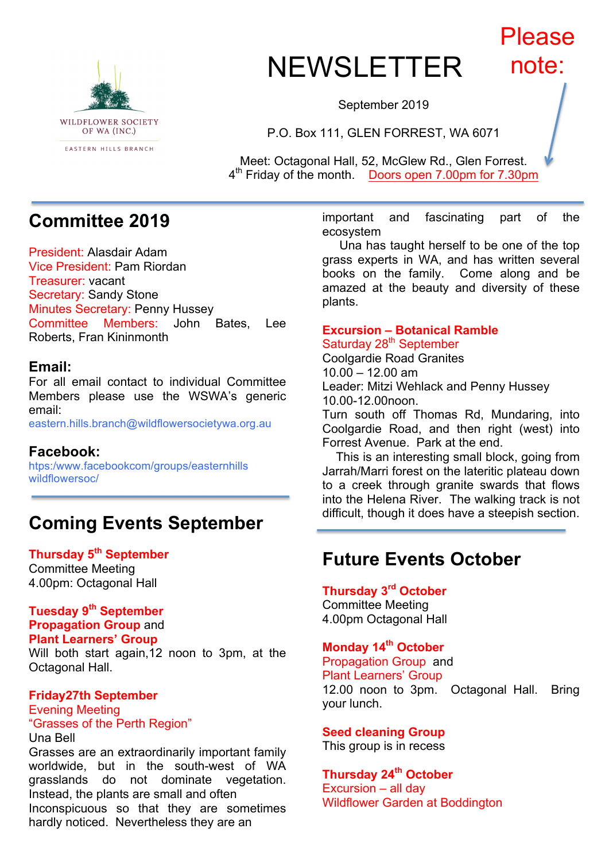

### NEWSLETTER Please note:

September 2019

P.O. Box 111, GLEN FORREST, WA 6071

Meet: Octagonal Hall, 52, McGlew Rd., Glen Forrest. 4th Friday of the month. Doors open 7.00pm for 7.30pm

# **Committee 2019**

President: Alasdair Adam Vice President: Pam Riordan Treasurer: vacant Secretary: Sandy Stone Minutes Secretary: Penny Hussey Committee Members: John Bates, Lee Roberts, Fran Kininmonth

#### **Email:**

For all email contact to individual Committee Members please use the WSWA's generic email:

eastern.hills.branch@wildflowersocietywa.org.au

#### **Facebook:**

htps:/www.facebookcom/groups/easternhills wildflowersoc/

# **Coming Events September**

**Thursday 5th September** Committee Meeting

4.00pm: Octagonal Hall

### **Tuesday 9th September**

**Propagation Group** and **Plant Learners' Group** Will both start again,12 noon to 3pm, at the Octagonal Hall.

#### **Friday27th September** Evening Meeting "Grasses of the Perth Region"

Una Bell Grasses are an extraordinarily important family worldwide, but in the south-west of WA grasslands do not dominate vegetation. Instead, the plants are small and often Inconspicuous so that they are sometimes hardly noticed. Nevertheless they are an

important and fascinating part of the ecosystem

 Una has taught herself to be one of the top grass experts in WA, and has written several books on the family. Come along and be amazed at the beauty and diversity of these plants.

#### **Excursion – Botanical Ramble** Saturday 28<sup>th</sup> September

Coolgardie Road Granites 10.00 – 12.00 am Leader: Mitzi Wehlack and Penny Hussey 10.00-12.00noon.

Turn south off Thomas Rd, Mundaring, into Coolgardie Road, and then right (west) into Forrest Avenue. Park at the end.

 This is an interesting small block, going from Jarrah/Marri forest on the lateritic plateau down to a creek through granite swards that flows into the Helena River. The walking track is not difficult, though it does have a steepish section.

# **Future Events October**

**Thursday 3rd October** Committee Meeting 4.00pm Octagonal Hall

### **Monday 14th October**

Propagation Group and Plant Learners' Group 12.00 noon to 3pm. Octagonal Hall. Bring your lunch.

#### **Seed cleaning Group**

This group is in recess

### **Thursday 24th October**

Excursion – all day Wildflower Garden at Boddington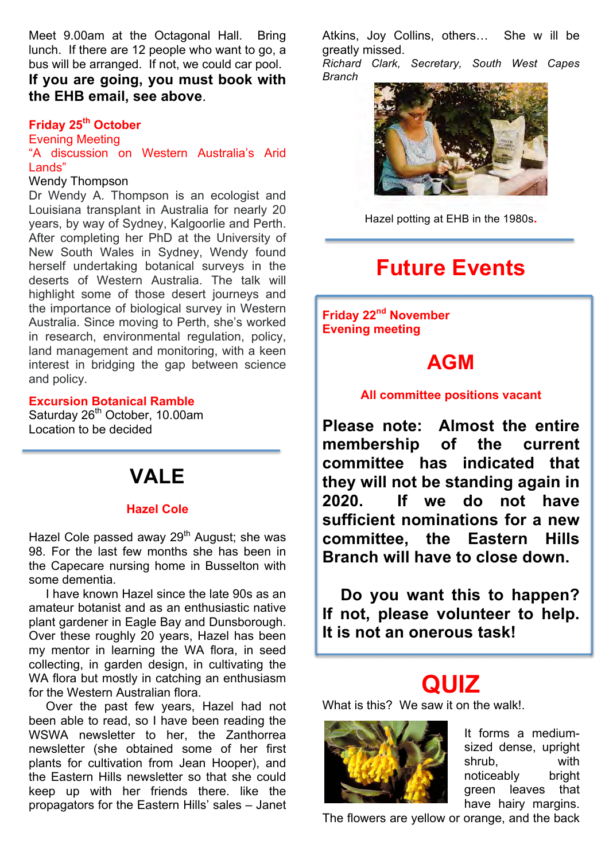Meet 9.00am at the Octagonal Hall. Bring lunch. If there are 12 people who want to go, a bus will be arranged. If not, we could car pool.

**If you are going, you must book with the EHB email, see above**.

#### **Friday 25th October**

Evening Meeting

"A discussion on Western Australia's Arid Lands"

#### Wendy Thompson

Dr Wendy A. Thompson is an ecologist and Louisiana transplant in Australia for nearly 20 years, by way of Sydney, Kalgoorlie and Perth. After completing her PhD at the University of New South Wales in Sydney, Wendy found herself undertaking botanical surveys in the deserts of Western Australia. The talk will highlight some of those desert journeys and the importance of biological survey in Western Australia. Since moving to Perth, she's worked in research, environmental regulation, policy, land management and monitoring, with a keen interest in bridging the gap between science and policy.

#### **Excursion Botanical Ramble**

Saturday 26<sup>th</sup> October, 10.00am Location to be decided

# **VALE**

#### **Hazel Cole**

Hazel Cole passed away  $29<sup>th</sup>$  August; she was 98. For the last few months she has been in the Capecare nursing home in Busselton with some dementia.

 I have known Hazel since the late 90s as an amateur botanist and as an enthusiastic native plant gardener in Eagle Bay and Dunsborough. Over these roughly 20 years, Hazel has been my mentor in learning the WA flora, in seed collecting, in garden design, in cultivating the WA flora but mostly in catching an enthusiasm for the Western Australian flora.

 Over the past few years, Hazel had not been able to read, so I have been reading the WSWA newsletter to her, the Zanthorrea newsletter (she obtained some of her first plants for cultivation from Jean Hooper), and the Eastern Hills newsletter so that she could keep up with her friends there. like the propagators for the Eastern Hills' sales – Janet

Atkins, Joy Collins, others… She w ill be greatly missed.

*Richard Clark, Secretary, South West Capes Branch*



Hazel potting at EHB in the 1980s**.**

# **Future Events**

**Friday 22nd November Evening meeting**

### **AGM**

#### **All committee positions vacant**

**Please note: Almost the entire membership of the current committee has indicated that they will not be standing again in 2020. If we do not have sufficient nominations for a new committee, the Eastern Hills Branch will have to close down.**

 **Do you want this to happen? If not, please volunteer to help. It is not an onerous task!**

# **QUIZ**

What is this? We saw it on the walk!.



It forms a mediumsized dense, upright shrub, with noticeably bright green leaves that have hairy margins.

The flowers are yellow or orange, and the back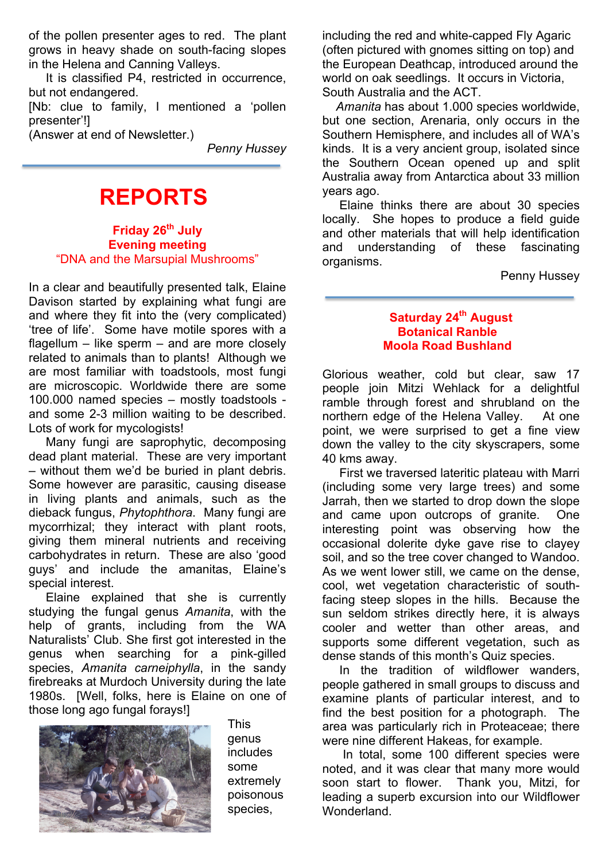of the pollen presenter ages to red. The plant grows in heavy shade on south-facing slopes in the Helena and Canning Valleys.

 It is classified P4, restricted in occurrence, but not endangered.

[Nb: clue to family, I mentioned a 'pollen presenter'!]

(Answer at end of Newsletter.)

*Penny Hussey*

# **REPORTS**

**Friday 26th July Evening meeting** "DNA and the Marsupial Mushrooms"

In a clear and beautifully presented talk, Elaine Davison started by explaining what fungi are and where they fit into the (very complicated) 'tree of life'. Some have motile spores with a flagellum – like sperm – and are more closely related to animals than to plants! Although we are most familiar with toadstools, most fungi are microscopic. Worldwide there are some 100.000 named species – mostly toadstools and some 2-3 million waiting to be described. Lots of work for mycologists!

 Many fungi are saprophytic, decomposing dead plant material. These are very important – without them we'd be buried in plant debris. Some however are parasitic, causing disease in living plants and animals, such as the dieback fungus, *Phytophthora*. Many fungi are mycorrhizal; they interact with plant roots, giving them mineral nutrients and receiving carbohydrates in return. These are also 'good guys' and include the amanitas, Elaine's special interest.

 Elaine explained that she is currently studying the fungal genus *Amanita*, with the help of grants, including from the WA Naturalists' Club. She first got interested in the genus when searching for a pink-gilled species, *Amanita carneiphylla*, in the sandy firebreaks at Murdoch University during the late 1980s. [Well, folks, here is Elaine on one of those long ago fungal forays!]



This genus includes some extremely poisonous species,

including the red and white-capped Fly Agaric (often pictured with gnomes sitting on top) and the European Deathcap, introduced around the world on oak seedlings. It occurs in Victoria, South Australia and the ACT.

 *Amanita* has about 1.000 species worldwide, but one section, Arenaria, only occurs in the Southern Hemisphere, and includes all of WA's kinds. It is a very ancient group, isolated since the Southern Ocean opened up and split Australia away from Antarctica about 33 million years ago.

 Elaine thinks there are about 30 species locally. She hopes to produce a field guide and other materials that will help identification and understanding of these fascinating organisms.

Penny Hussey

#### **Saturday 24th August Botanical Ranble Moola Road Bushland**

Glorious weather, cold but clear, saw 17 people join Mitzi Wehlack for a delightful ramble through forest and shrubland on the northern edge of the Helena Valley. At one point, we were surprised to get a fine view down the valley to the city skyscrapers, some 40 kms away.

 First we traversed lateritic plateau with Marri (including some very large trees) and some Jarrah, then we started to drop down the slope and came upon outcrops of granite. One interesting point was observing how the occasional dolerite dyke gave rise to clayey soil, and so the tree cover changed to Wandoo. As we went lower still, we came on the dense, cool, wet vegetation characteristic of southfacing steep slopes in the hills. Because the sun seldom strikes directly here, it is always cooler and wetter than other areas, and supports some different vegetation, such as dense stands of this month's Quiz species.

 In the tradition of wildflower wanders, people gathered in small groups to discuss and examine plants of particular interest, and to find the best position for a photograph. The area was particularly rich in Proteaceae; there were nine different Hakeas, for example.

 In total, some 100 different species were noted, and it was clear that many more would soon start to flower. Thank you, Mitzi, for leading a superb excursion into our Wildflower Wonderland.